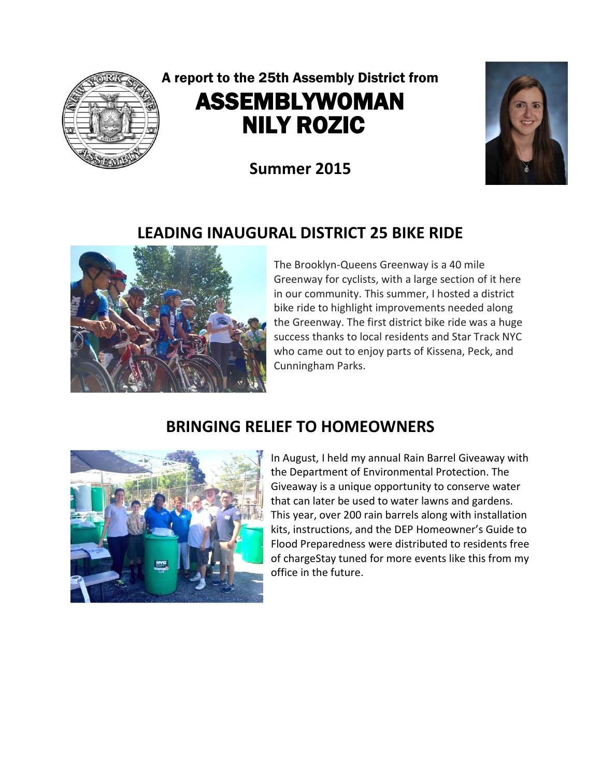

# A report to the 25th Assembly District from ASSEMBLYWOMAN NILY ROZIC

**Summer 2015**



# **LEADING INAUGURAL DISTRICT 25 BIKE RIDE**



The Brooklyn-Queens Greenway is a 40 mile Greenway for cyclists, with a large section of it here in our community. This summer, I hosted a district bike ride to highlight improvements needed along the Greenway. The first district bike ride was a huge success thanks to local residents and Star Track NYC who came out to enjoy parts of Kissena, Peck, and Cunningham Parks.

# **BRINGING RELIEF TO HOMEOWNERS**



In August, I held my annual Rain Barrel Giveaway with the Department of Environmental Protection. The Giveaway is a unique opportunity to conserve water that can later be used to water lawns and gardens. This year, over 200 rain barrels along with installation kits, instructions, and the DEP Homeowner's Guide to Flood Preparedness were distributed to residents free of chargeStay tuned for more events like this from my office in the future.